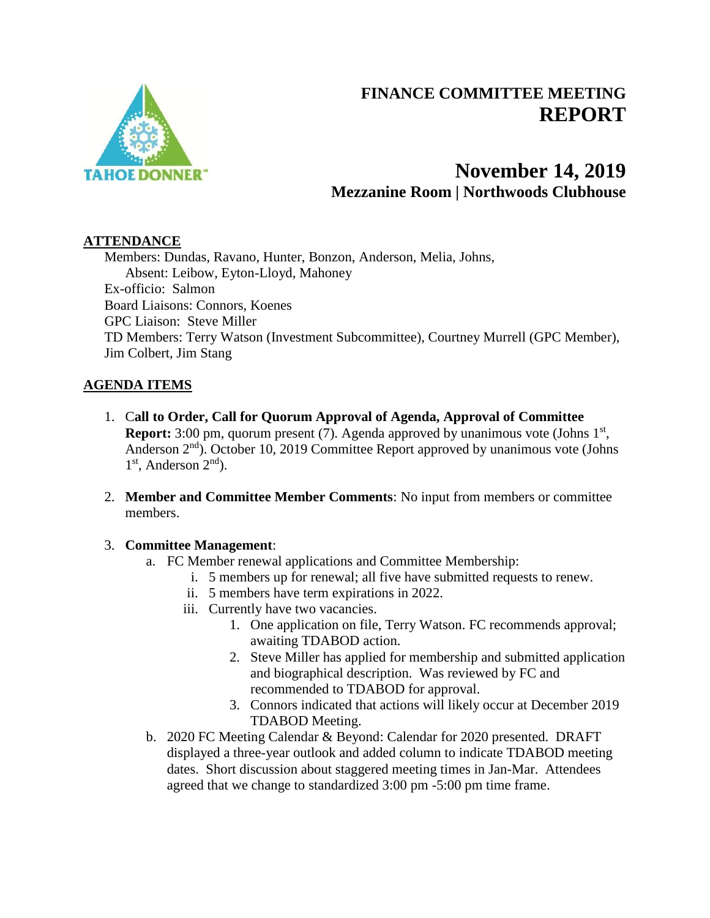

# **FINANCE COMMITTEE MEETING REPORT**

# **November 14, 2019 Mezzanine Room | Northwoods Clubhouse**

### **ATTENDANCE**

Members: Dundas, Ravano, Hunter, Bonzon, Anderson, Melia, Johns, Absent: Leibow, Eyton-Lloyd, Mahoney Ex-officio: Salmon Board Liaisons: Connors, Koenes GPC Liaison: Steve Miller TD Members: Terry Watson (Investment Subcommittee), Courtney Murrell (GPC Member), Jim Colbert, Jim Stang

## **AGENDA ITEMS**

- 1. C**all to Order, Call for Quorum Approval of Agenda, Approval of Committee Report:** 3:00 pm, quorum present (7). Agenda approved by unanimous vote (Johns 1<sup>st</sup>, Anderson  $2<sup>nd</sup>$ . October 10, 2019 Committee Report approved by unanimous vote (Johns 1<sup>st</sup>, Anderson 2<sup>nd</sup>).
- 2. **Member and Committee Member Comments**: No input from members or committee members.

#### 3. **Committee Management**:

- a. FC Member renewal applications and Committee Membership:
	- i. 5 members up for renewal; all five have submitted requests to renew.
	- ii. 5 members have term expirations in 2022.
	- iii. Currently have two vacancies.
		- 1. One application on file, Terry Watson. FC recommends approval; awaiting TDABOD action.
		- 2. Steve Miller has applied for membership and submitted application and biographical description. Was reviewed by FC and recommended to TDABOD for approval.
		- 3. Connors indicated that actions will likely occur at December 2019 TDABOD Meeting.
- b. 2020 FC Meeting Calendar & Beyond: Calendar for 2020 presented. DRAFT displayed a three-year outlook and added column to indicate TDABOD meeting dates. Short discussion about staggered meeting times in Jan-Mar. Attendees agreed that we change to standardized 3:00 pm -5:00 pm time frame.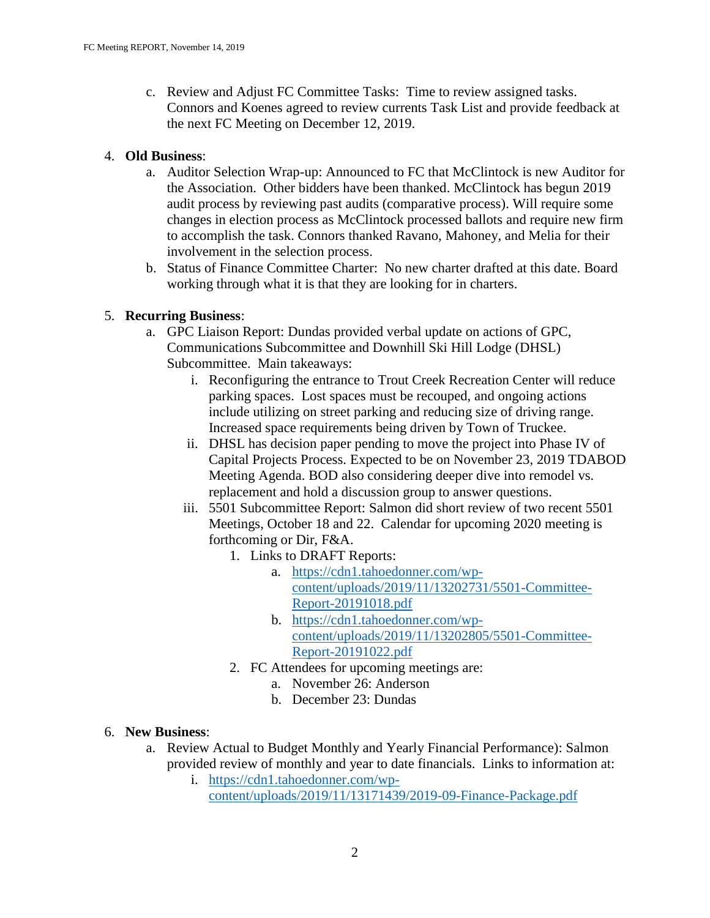c. Review and Adjust FC Committee Tasks: Time to review assigned tasks. Connors and Koenes agreed to review currents Task List and provide feedback at the next FC Meeting on December 12, 2019.

#### 4. **Old Business**:

- a. Auditor Selection Wrap-up: Announced to FC that McClintock is new Auditor for the Association. Other bidders have been thanked. McClintock has begun 2019 audit process by reviewing past audits (comparative process). Will require some changes in election process as McClintock processed ballots and require new firm to accomplish the task. Connors thanked Ravano, Mahoney, and Melia for their involvement in the selection process.
- b. Status of Finance Committee Charter: No new charter drafted at this date. Board working through what it is that they are looking for in charters.

#### 5. **Recurring Business**:

- a. GPC Liaison Report: Dundas provided verbal update on actions of GPC, Communications Subcommittee and Downhill Ski Hill Lodge (DHSL) Subcommittee. Main takeaways:
	- i. Reconfiguring the entrance to Trout Creek Recreation Center will reduce parking spaces. Lost spaces must be recouped, and ongoing actions include utilizing on street parking and reducing size of driving range. Increased space requirements being driven by Town of Truckee.
	- ii. DHSL has decision paper pending to move the project into Phase IV of Capital Projects Process. Expected to be on November 23, 2019 TDABOD Meeting Agenda. BOD also considering deeper dive into remodel vs. replacement and hold a discussion group to answer questions.
	- iii. 5501 Subcommittee Report: Salmon did short review of two recent 5501 Meetings, October 18 and 22. Calendar for upcoming 2020 meeting is forthcoming or Dir, F&A.
		- 1. Links to DRAFT Reports:
			- a. [https://cdn1.tahoedonner.com/wp](https://cdn1.tahoedonner.com/wp-content/uploads/2019/11/13202731/5501-Committee-Report-20191018.pdf)[content/uploads/2019/11/13202731/5501-Committee-](https://cdn1.tahoedonner.com/wp-content/uploads/2019/11/13202731/5501-Committee-Report-20191018.pdf)[Report-20191018.pdf](https://cdn1.tahoedonner.com/wp-content/uploads/2019/11/13202731/5501-Committee-Report-20191018.pdf)
			- b. [https://cdn1.tahoedonner.com/wp](https://cdn1.tahoedonner.com/wp-content/uploads/2019/11/13202805/5501-Committee-Report-20191022.pdf)[content/uploads/2019/11/13202805/5501-Committee-](https://cdn1.tahoedonner.com/wp-content/uploads/2019/11/13202805/5501-Committee-Report-20191022.pdf)[Report-20191022.pdf](https://cdn1.tahoedonner.com/wp-content/uploads/2019/11/13202805/5501-Committee-Report-20191022.pdf)
		- 2. FC Attendees for upcoming meetings are:
			- a. November 26: Anderson
			- b. December 23: Dundas

#### 6. **New Business**:

a. Review Actual to Budget Monthly and Yearly Financial Performance): Salmon provided review of monthly and year to date financials. Links to information at:

i. [https://cdn1.tahoedonner.com/wp-](https://cdn1.tahoedonner.com/wp-content/uploads/2019/11/13171439/2019-09-Finance-Package.pdf)

[content/uploads/2019/11/13171439/2019-09-Finance-Package.pdf](https://cdn1.tahoedonner.com/wp-content/uploads/2019/11/13171439/2019-09-Finance-Package.pdf)